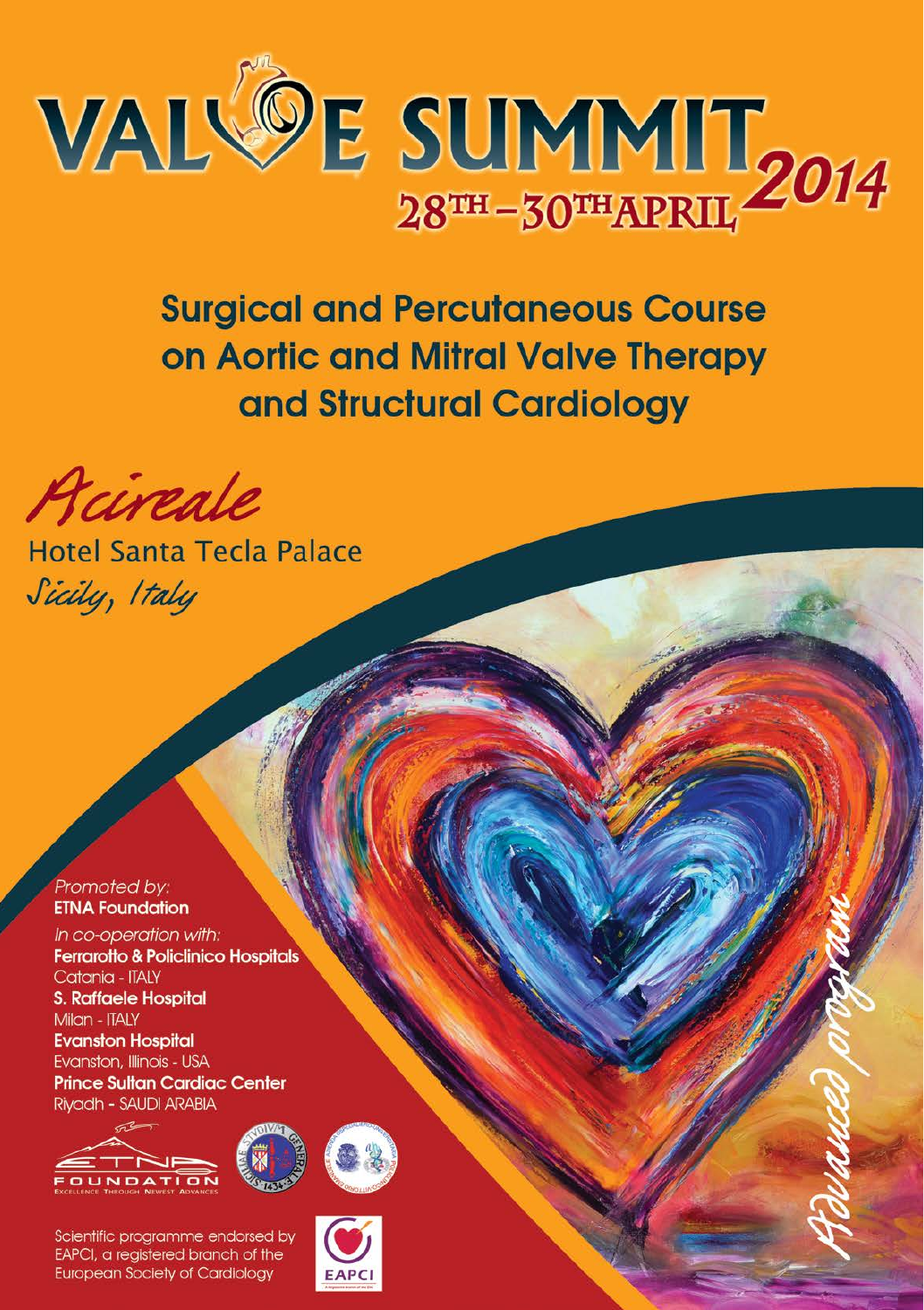

**Surgical and Percutaneous Course** on Aortic and Mitral Valve Therapy and Structural Cardiology

Acircale

Hotel Santa Tecla Palace Sicily, Italy

Promoted by: **ETNA Foundation** 

In co-operation with: **Ferrarotto & Policlinico Hospitals** Catania - ITALY **S. Raffaele Hospital** Milan - ITALY **Evanston Hospital** Evanston, Illinois - USA **Prince Sultan Cardiac Center** Rivadh - SAUDI ARABIA



egistered branch of **European Society of Cardiology** 

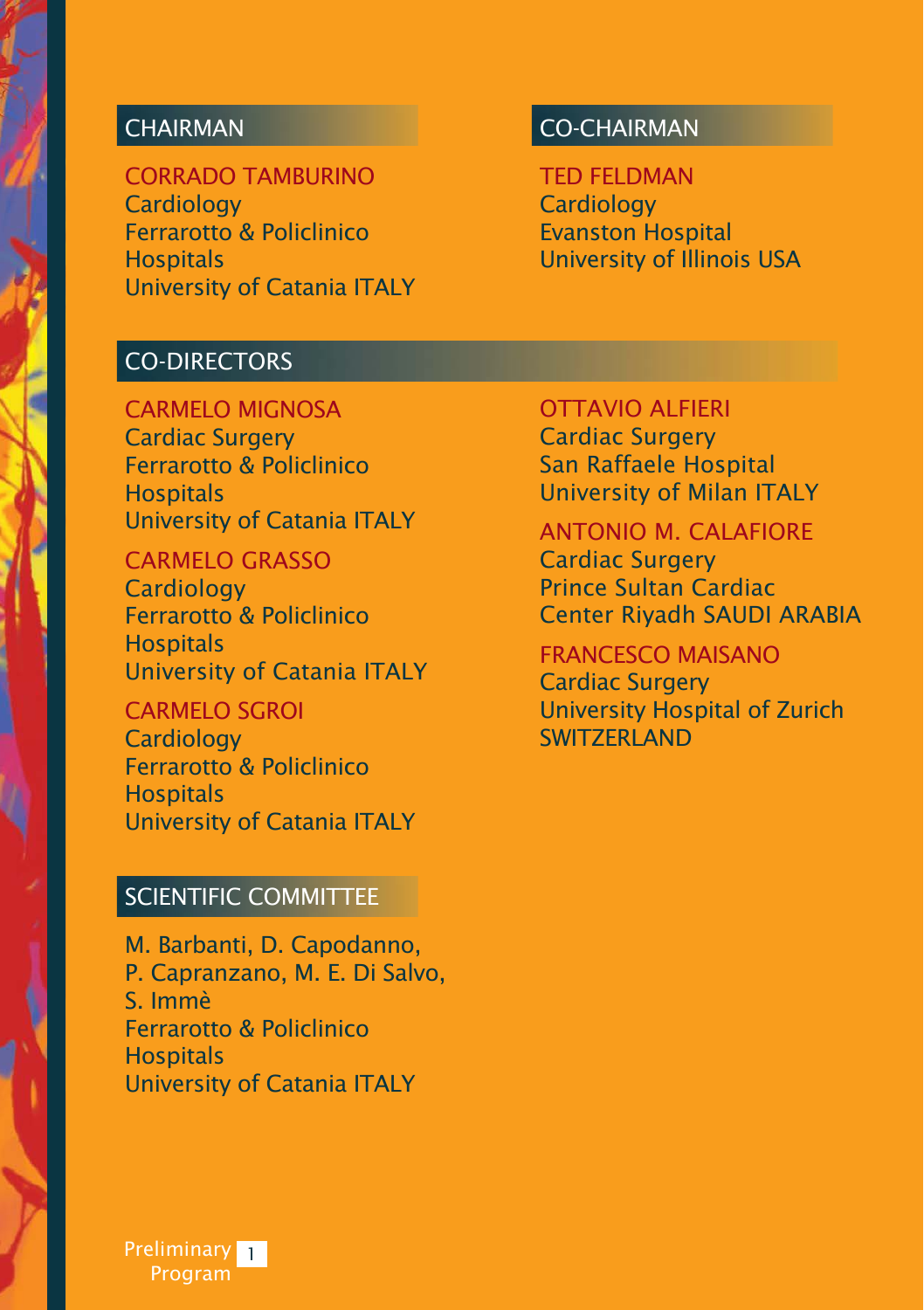### **CHAIRMAN**

CORRADO TAMBURINO **Cardiology** Ferrarotto & Policlinico **Hospitals** University of Catania ITALY

#### CO-DIRECTORS

CARMELO MIGNOSA Cardiac Surgery Ferrarotto & Policlinico **Hospitals** University of Catania ITALY

CARMELO GRASSO **Cardiology** Ferrarotto & Policlinico **Hospitals** University of Catania ITALY

CARMELO SGROI **Cardiology** Ferrarotto & Policlinico **Hospitals** University of Catania ITALY

#### SCIENTIFIC COMMITTEE

M. Barbanti, D. Capodanno, P. Capranzano, M. E. Di Salvo, S. Immè Ferrarotto & Policlinico **Hospitals** University of Catania ITALY

#### CO-CHAIRMAN

TED FELDMAN **Cardiology** Evanston Hospital University of Illinois USA

OTTAVIO ALFIERI Cardiac Surgery San Raffaele Hospital University of Milan ITALY

ANTONIO M. CALAFIORE Cardiac Surgery Prince Sultan Cardiac Center Riyadh SAUDI ARABIA

FRANCESCO MAISANO

Cardiac Surgery University Hospital of Zurich **SWITZERI AND** 

Preliminary <mark>1</mark> Program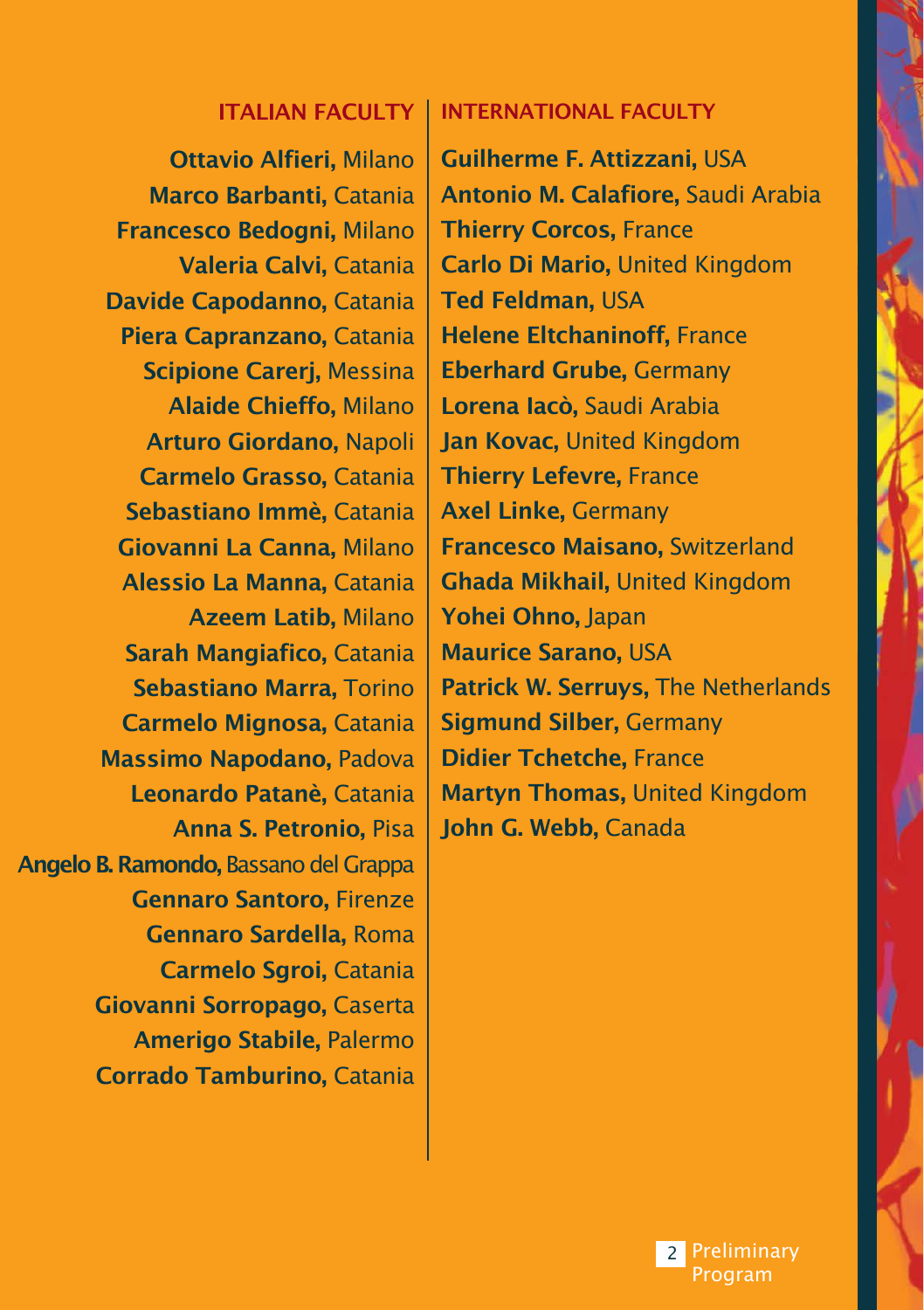#### ITALIAN FACULTY INTERNATIONAL FACULTY

Ottavio Alfieri, Milano Marco Barbanti, Catania Francesco Bedogni, Milano Valeria Calvi, Catania Davide Capodanno, Catania Piera Capranzano, Catania Scipione Carerj, Messina Alaide Chieffo, Milano Arturo Giordano, Napoli Carmelo Grasso, Catania Sebastiano Immè, Catania Giovanni La Canna, Milano Alessio La Manna, Catania Azeem Latib, Milano Sarah Mangiafico, Catania Sebastiano Marra, Torino Carmelo Mignosa, Catania Massimo Napodano, Padova Leonardo Patanè, Catania Anna S. Petronio, Pisa Angelo B. Ramondo, Bassano del Grappa Gennaro Santoro, Firenze Gennaro Sardella, Roma Carmelo Sgroi, Catania Giovanni Sorropago, Caserta Amerigo Stabile, Palermo Corrado Tamburino, Catania

Guilherme F. Attizzani, USA Antonio M. Calafiore, Saudi Arabia Thierry Corcos, France Carlo Di Mario, United Kingdom **Ted Feldman, USA** Helene Eltchaninoff, France Eberhard Grube, Germany Lorena Iacò, Saudi Arabia Jan Kovac, United Kingdom Thierry Lefevre, France Axel Linke, Germany Francesco Maisano, Switzerland Ghada Mikhail, United Kingdom Yohei Ohno, Japan Maurice Sarano, Usa Patrick W. Serruys, The Netherlands Sigmund Silber, Germany Didier Tchetche, France Martyn Thomas, United Kingdom John G. Webb, Canada

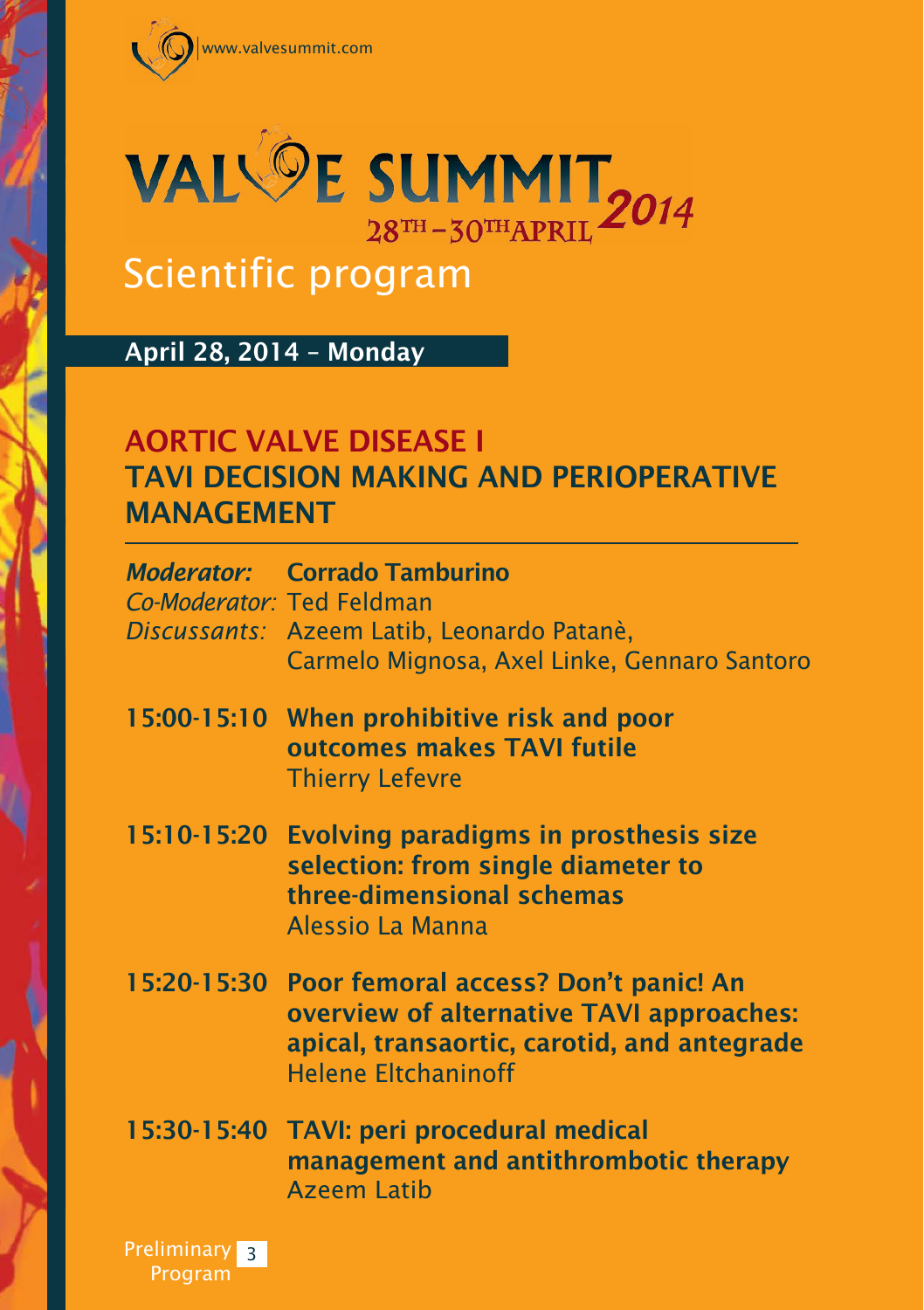



# Scientific program

April 28, 2014 – Monday

## AORTIC VALVE DISEASE I TAVI DECISION MAKING AND PERIOPERATIVE MANAGEMENT

| Co-Moderator: Ted Feldman | <b>Moderator:</b> Corrado Tamburino<br>Discussants: Azeem Latib, Leonardo Patanè,<br>Carmelo Mignosa, Axel Linke, Gennaro Santoro                                         |
|---------------------------|---------------------------------------------------------------------------------------------------------------------------------------------------------------------------|
|                           | 15:00-15:10 When prohibitive risk and poor<br>outcomes makes TAVI futile<br><b>Thierry Lefevre</b>                                                                        |
| 15:10-15:20               | <b>Evolving paradigms in prosthesis size</b><br>selection: from single diameter to<br>three-dimensional schemas<br>Alessio La Manna                                       |
|                           | 15:20-15:30 Poor femoral access? Don't panic! An<br>overview of alternative TAVI approaches:<br>apical, transaortic, carotid, and antegrade<br><b>Helene Eltchaninoff</b> |
|                           | 15:30-15:40 TAVI: peri procedural medical<br>management and antithrombotic therapy<br><b>Azeem Latib</b>                                                                  |

**Preliminary** Program 3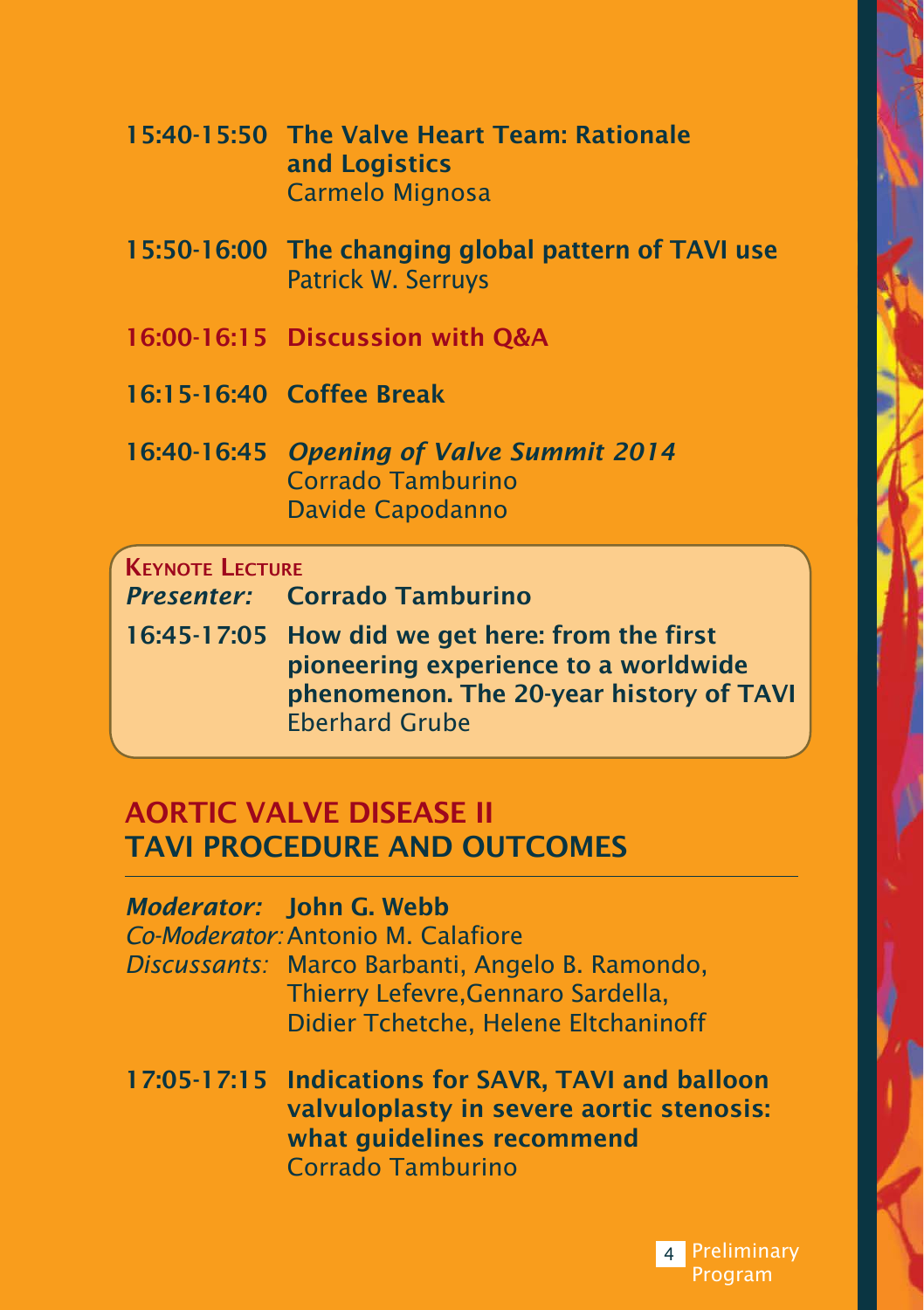| 15:40-15:50 The Valve Heart Team: Rationale |
|---------------------------------------------|
| and Logistics                               |
| Carmelo Mignosa                             |

- 15:50-16:00 The changing global pattern of TAVI use Patrick W. Serruys
- 16:00-16:15 Discussion with Q&A
- 16:15-16:40 Coffee Break
- 16:40-16:45 *Opening of Valve Summit 2014* Corrado Tamburino Davide Capodanno

#### **KEYNOTE LECTURE**

| <b>Presenter:</b> | <b>Corrado Tamburino</b> |  |
|-------------------|--------------------------|--|
|                   |                          |  |
|                   |                          |  |

16:45-17:05 How did we get here: from the first pioneering experience to a worldwide phenomenon. The 20-year history of TAVI Eberhard Grube

## AORTIC VALVE DISEASE II TAVI PROCEDURE AND OUTCOMES

| <b>Moderator:</b> John G. Webb<br>Co-Moderator: Antonio M. Calafiore<br>Discussants: Marco Barbanti, Angelo B. Ramondo,<br>Thierry Lefevre, Gennaro Sardella,<br>Didier Tchetche, Helene Eltchaninoff |
|-------------------------------------------------------------------------------------------------------------------------------------------------------------------------------------------------------|
| 17:05-17:15 Indications for SAVR, TAVI and balloon<br>valvuloplasty in severe aortic stenosis:<br>what guidelines recommend                                                                           |

Corrado Tamburino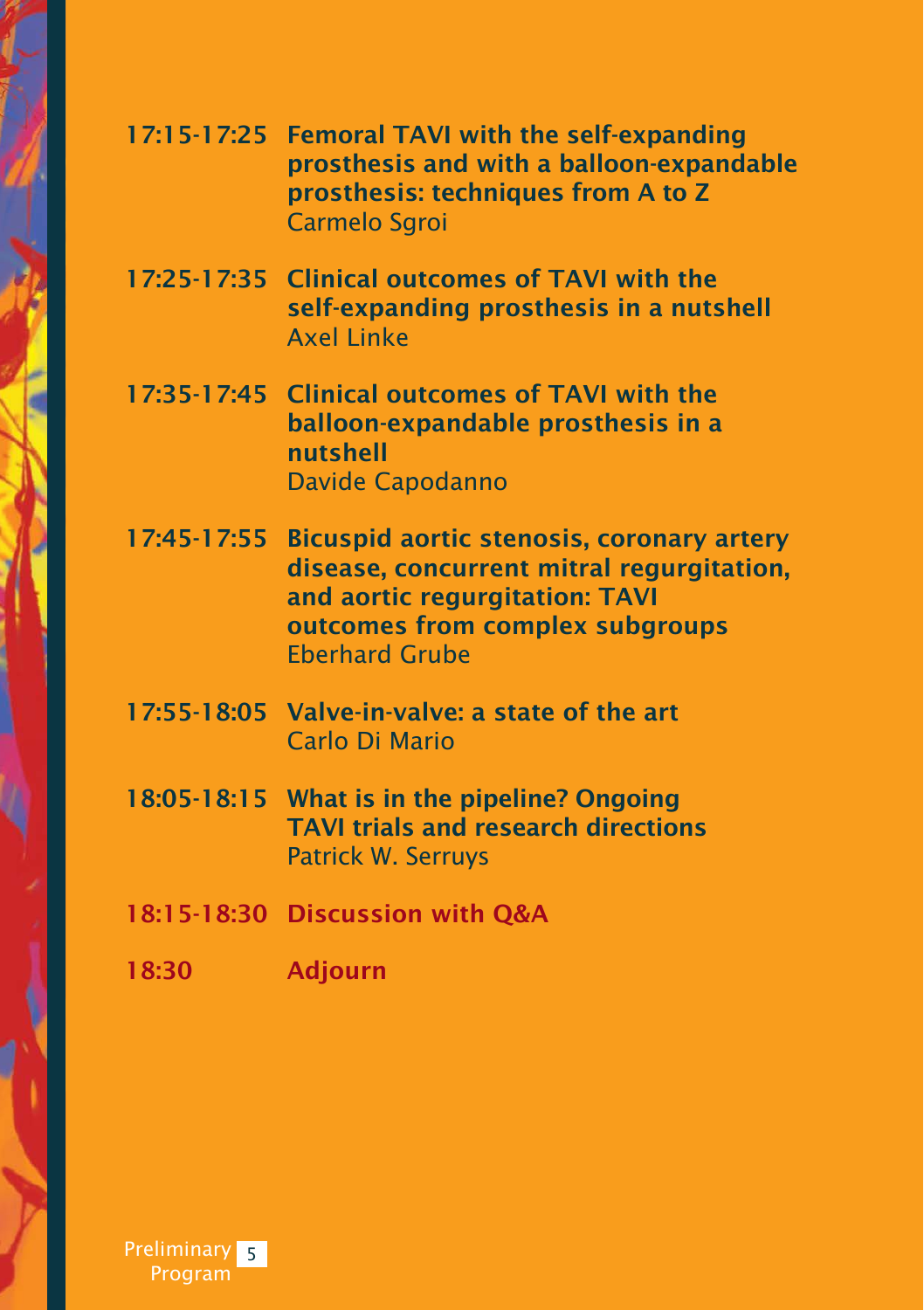|             | 17:15-17:25 Femoral TAVI with the self-expanding<br>prosthesis and with a balloon-expandable<br>prosthesis: techniques from A to Z<br><b>Carmelo Sgroi</b>                                  |
|-------------|---------------------------------------------------------------------------------------------------------------------------------------------------------------------------------------------|
|             | 17:25-17:35 Clinical outcomes of TAVI with the<br>self-expanding prosthesis in a nutshell<br><b>Axel Linke</b>                                                                              |
|             | 17:35-17:45 Clinical outcomes of TAVI with the<br>balloon-expandable prosthesis in a<br>nutshell<br><b>Davide Capodanno</b>                                                                 |
| 17:45-17:55 | <b>Bicuspid aortic stenosis, coronary artery</b><br>disease, concurrent mitral regurgitation,<br>and aortic regurgitation: TAVI<br>outcomes from complex subgroups<br><b>Eberhard Grube</b> |
|             | 17:55-18:05 Valve-in-valve: a state of the art<br>Carlo Di Mario                                                                                                                            |
|             | 18:05-18:15 What is in the pipeline? Ongoing<br><b>TAVI trials and research directions</b><br><b>Patrick W. Serruys</b>                                                                     |
|             | 18:15-18:30 Discussion with Q&A                                                                                                                                                             |
| 18:30       | <b>Adjourn</b>                                                                                                                                                                              |
|             |                                                                                                                                                                                             |
|             |                                                                                                                                                                                             |

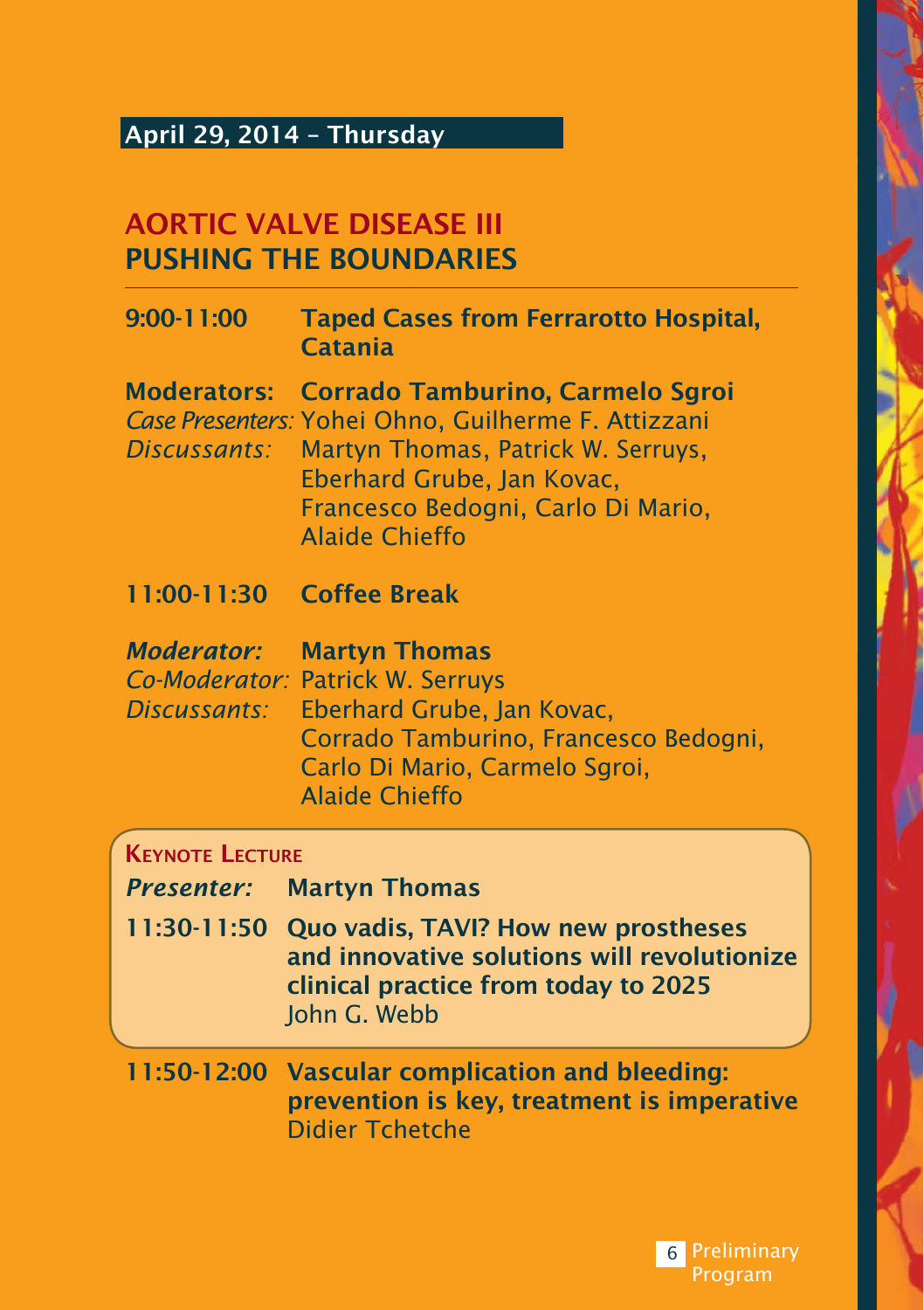## April 29, 2014 – Thursday

## AORTIC VALVE DISEASE III PUSHING THE BOUNDARIES

| 9:00-11:00                         | <b>Taped Cases from Ferrarotto Hospital,</b><br><b>Catania</b>                                                                                                                                                                    |
|------------------------------------|-----------------------------------------------------------------------------------------------------------------------------------------------------------------------------------------------------------------------------------|
| <b>Moderators:</b><br>Discussants: | <b>Corrado Tamburino, Carmelo Sgroi</b><br>Case Presenters: Yohei Ohno, Guilherme F. Attizzani<br>Martyn Thomas, Patrick W. Serruys,<br>Eberhard Grube, Jan Kovac,<br>Francesco Bedogni, Carlo Di Mario,<br><b>Alaide Chieffo</b> |
| 11:00-11:30                        | <b>Coffee Break</b>                                                                                                                                                                                                               |
| <b>Moderator:</b><br>Discussants:  | <b>Martyn Thomas</b><br>Co-Moderator: Patrick W. Serruys<br>Eberhard Grube, Jan Kovac,<br>Corrado Tamburino, Francesco Bedogni,<br>Carlo Di Mario, Carmelo Sgroi,<br><b>Alaide Chieffo</b>                                        |
| <b>KEYNOTE LECTURE</b>             |                                                                                                                                                                                                                                   |
| <b>Presenter:</b>                  | <b>Martyn Thomas</b>                                                                                                                                                                                                              |
| 11:30-11:50                        | Quo vadis, TAVI? How new prostheses<br>and innovative solutions will revolutionize<br>clinical practice from today to 2025<br>John G. Webb                                                                                        |
| 11:50-12:00                        | <b>Vascular complication and bleeding:</b><br>prevention is key, treatment is imperative                                                                                                                                          |

Didier Tchetche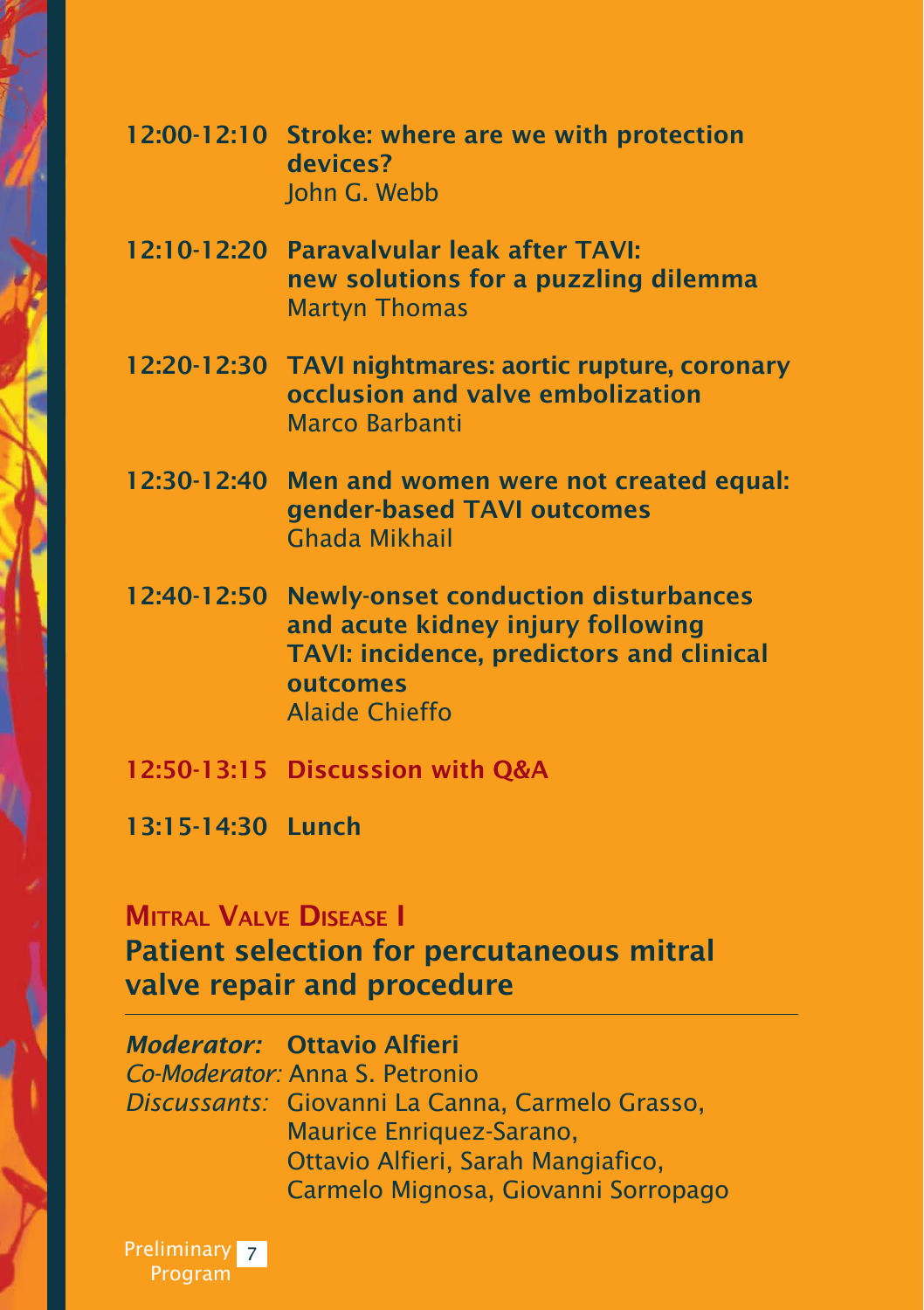| 12:00-12:10 Stroke: where are we with protection |
|--------------------------------------------------|
| devices?                                         |
| John G. Webb                                     |

- 12:10-12:20 Paravalvular leak after TAVI: new solutions for a puzzling dilemma Martyn Thomas
- 12:20-12:30 TAVI nightmares: aortic rupture, coronary occlusion and valve embolization Marco Barbanti
- 12:30-12:40 Men and women were not created equal: gender-based TAVI outcomes Ghada Mikhail
- 12:40-12:50 Newly-onset conduction disturbances and acute kidney injury following TAVI: incidence, predictors and clinical outcomes Alaide Chieffo
- 12:50-13:15 Discussion with Q&A
- 13:15-14:30 Lunch

## Mitral Valve Disease I Patient selection for percutaneous mitral valve repair and procedure

*Moderator:* Ottavio Alfieri *Co-Moderator:* Anna S. Petronio *Discussants:* Giovanni La Canna, Carmelo Grasso, Maurice Enriquez-Sarano, Ottavio Alfieri, Sarah Mangiafico, Carmelo Mignosa, Giovanni Sorropago

Preliminary <mark>7</mark> Program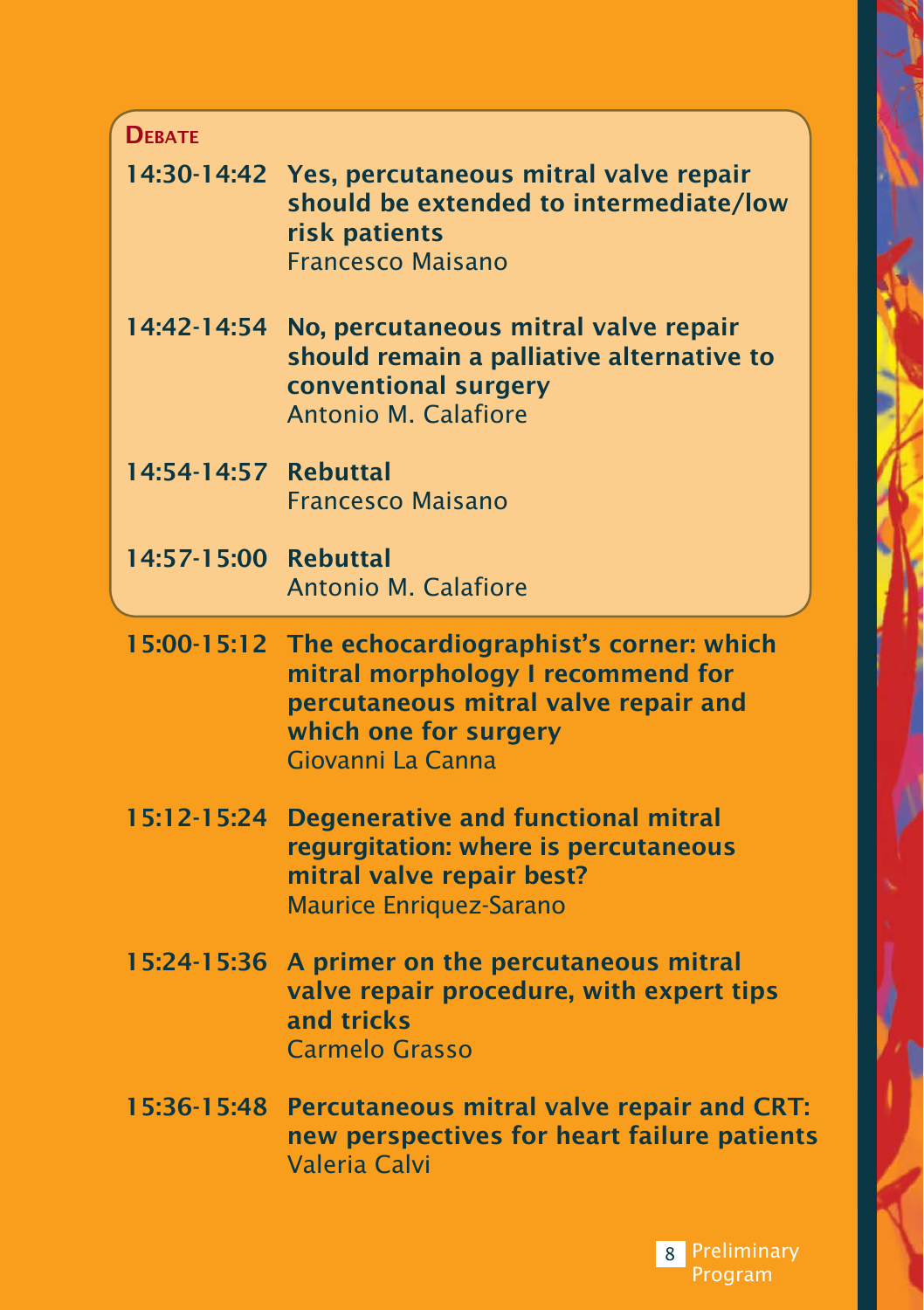| <b>DEBATE</b>        |                                                                                                                                                                   |
|----------------------|-------------------------------------------------------------------------------------------------------------------------------------------------------------------|
| 14:30-14:42          | Yes, percutaneous mitral valve repair<br>should be extended to intermediate/low<br>risk patients<br><b>Francesco Maisano</b>                                      |
| 14:42-14:54          | No, percutaneous mitral valve repair<br>should remain a palliative alternative to<br>conventional surgery<br><b>Antonio M. Calafiore</b>                          |
| 14:54-14:57 Rebuttal | <b>Francesco Maisano</b>                                                                                                                                          |
| 14:57-15:00 Rebuttal | <b>Antonio M. Calafiore</b>                                                                                                                                       |
| 15:00-15:12          | The echocardiographist's corner: which<br>mitral morphology I recommend for<br>percutaneous mitral valve repair and<br>which one for surgery<br>Giovanni La Canna |
| $15:12-15:24$        | <b>Degenerative and functional mitral</b><br>regurgitation: where is percutaneous<br>mitral valve repair best?<br><b>Maurice Enriquez-Sarano</b>                  |
| 15:24-15:36          | A primer on the percutaneous mitral<br>valve repair procedure, with expert tips<br>and tricks<br><b>Carmelo Grasso</b>                                            |
| 15:36-15:48          | Percutaneous mitral valve repair and CRT:<br>new perspectives for heart failure patients                                                                          |

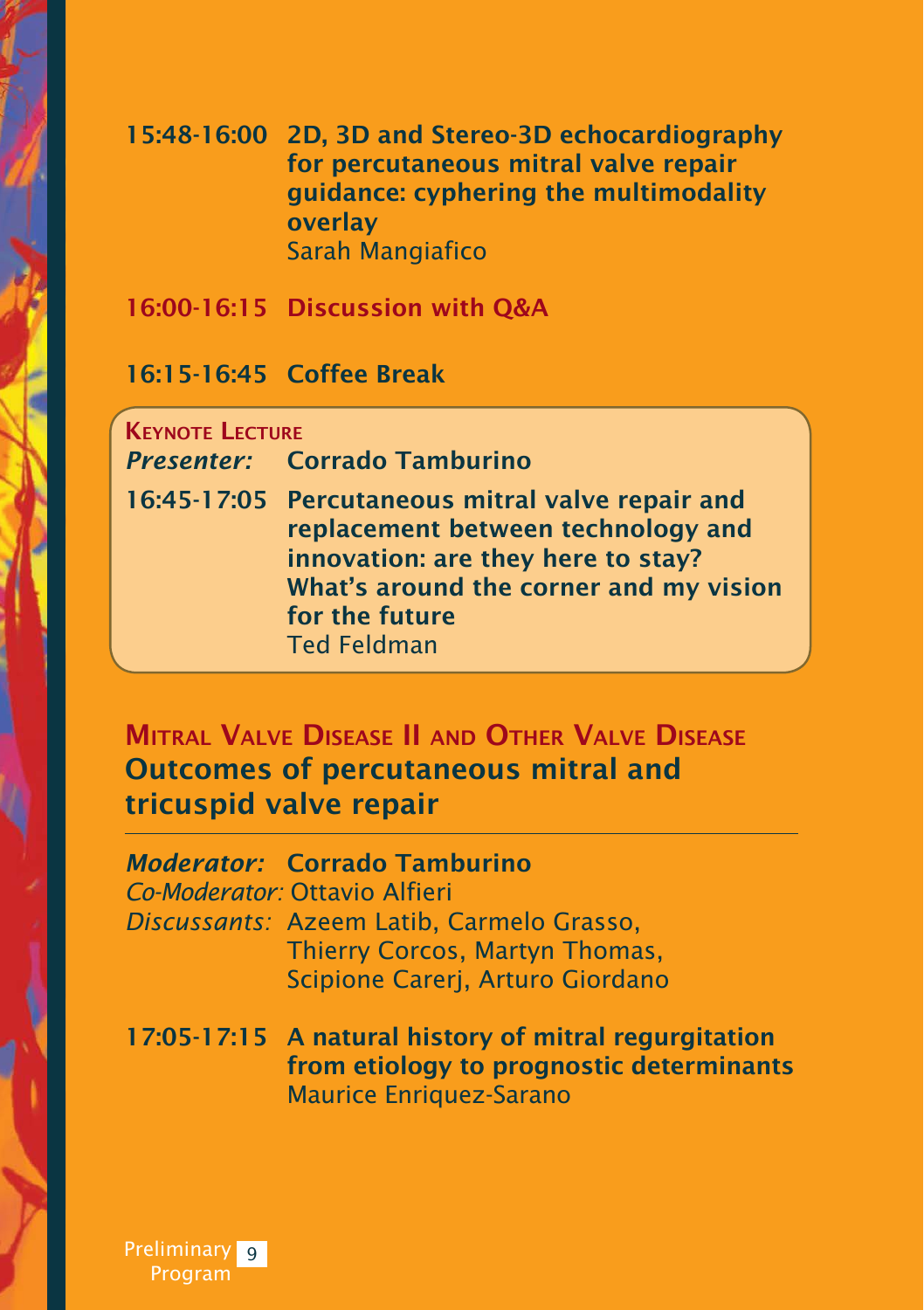#### 15:48-16:00 2D, 3D and Stereo-3D echocardiography for percutaneous mitral valve repair guidance: cyphering the multimodality overlay Sarah Mangiafico

16:00-16:15 Discussion with Q&A

16:15-16:45 Coffee Break

Keynote Lecture *Presenter:* Corrado Tamburino 16:45-17:05 Percutaneous mitral valve repair and replacement between technology and innovation: are they here to stay? What's around the corner and my vision for the future Ted Feldman

## Mitral Valve Disease II and Other Valve Disease Outcomes of percutaneous mitral and tricuspid valve repair

*Moderator:* Corrado Tamburino *Co-Moderator:* Ottavio Alfieri *Discussants:* Azeem Latib, Carmelo Grasso, Thierry Corcos, Martyn Thomas, Scipione Carerj, Arturo Giordano

17:05-17:15 A natural history of mitral regurgitation from etiology to prognostic determinants Maurice Enriquez-Sarano

Preliminary 9 Program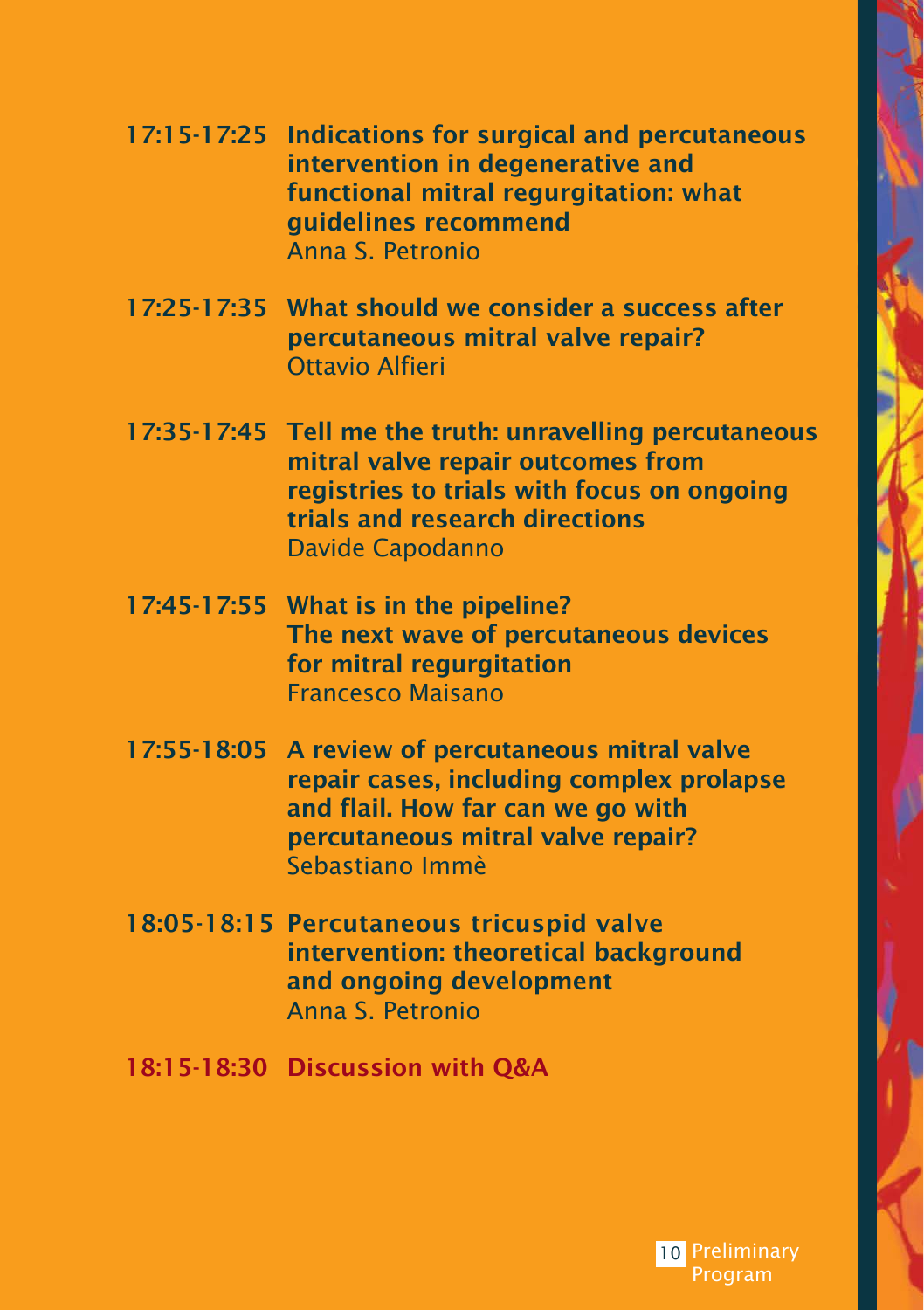| 17:15-17:25 Indications for surgical and percutaneous<br>intervention in degenerative and<br>functional mitral regurgitation: what<br>guidelines recommend<br>Anna S. Petronio                          |
|---------------------------------------------------------------------------------------------------------------------------------------------------------------------------------------------------------|
| 17:25-17:35 What should we consider a success after<br>percutaneous mitral valve repair?<br><b>Ottavio Alfieri</b>                                                                                      |
| 17:35-17:45 Tell me the truth: unravelling percutaneous<br>mitral valve repair outcomes from<br>registries to trials with focus on ongoing<br>trials and research directions<br><b>Davide Capodanno</b> |
| 17:45-17:55 What is in the pipeline?<br>The next wave of percutaneous devices<br>for mitral regurgitation<br><b>Francesco Maisano</b>                                                                   |
| 17:55-18:05 A review of percutaneous mitral valve<br>repair cases, including complex prolapse<br>and flail. How far can we go with<br>percutaneous mitral valve repair?<br>Sebastiano Immè              |
| 18:05-18:15 Percutaneous tricuspid valve<br>intervention: theoretical background<br>and ongoing development<br>Anna S. Petronio                                                                         |

18:15-18:30 Discussion with Q&A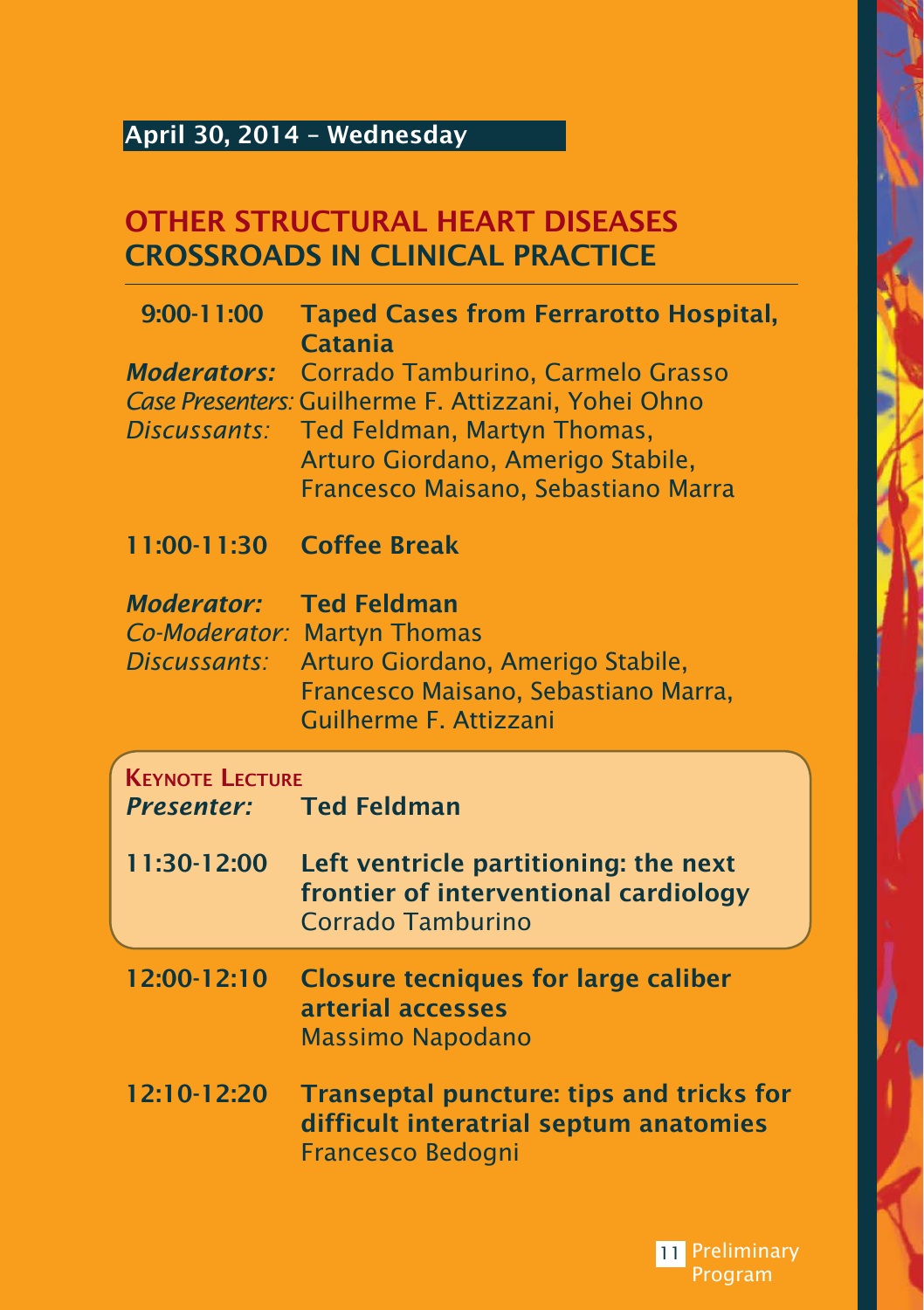## April 30, 2014 – Wednesday

## OTHER STRUCTURAL HEART DISEASES CROSSROADS IN CLINICAL PRACTICE

| 9:00-11:00                                         | <b>Taped Cases from Ferrarotto Hospital,</b><br>Catania                                                                                                                                             |
|----------------------------------------------------|-----------------------------------------------------------------------------------------------------------------------------------------------------------------------------------------------------|
| <b>Moderators:</b><br>Discussants:                 | Corrado Tamburino, Carmelo Grasso<br>Case Presenters: Guilherme F. Attizzani, Yohei Ohno<br>Ted Feldman, Martyn Thomas,<br>Arturo Giordano, Amerigo Stabile,<br>Francesco Maisano, Sebastiano Marra |
| 11:00-11:30                                        | <b>Coffee Break</b>                                                                                                                                                                                 |
| <b>Moderator:</b><br>Co-Moderator:<br>Discussants: | <b>Ted Feldman</b><br><b>Martyn Thomas</b><br>Arturo Giordano, Amerigo Stabile,<br>Francesco Maisano, Sebastiano Marra,<br>Guilherme F. Attizzani                                                   |
|                                                    |                                                                                                                                                                                                     |
| <b>KEYNOTE LECTURE</b><br><b>Presenter:</b>        | <b>Ted Feldman</b>                                                                                                                                                                                  |
| 11:30-12:00                                        | Left ventricle partitioning: the next<br>frontier of interventional cardiology<br>Corrado Tamburino                                                                                                 |
| 12:00-12:10                                        | <b>Closure tecniques for large caliber</b><br>arterial accesses<br><b>Massimo Napodano</b>                                                                                                          |

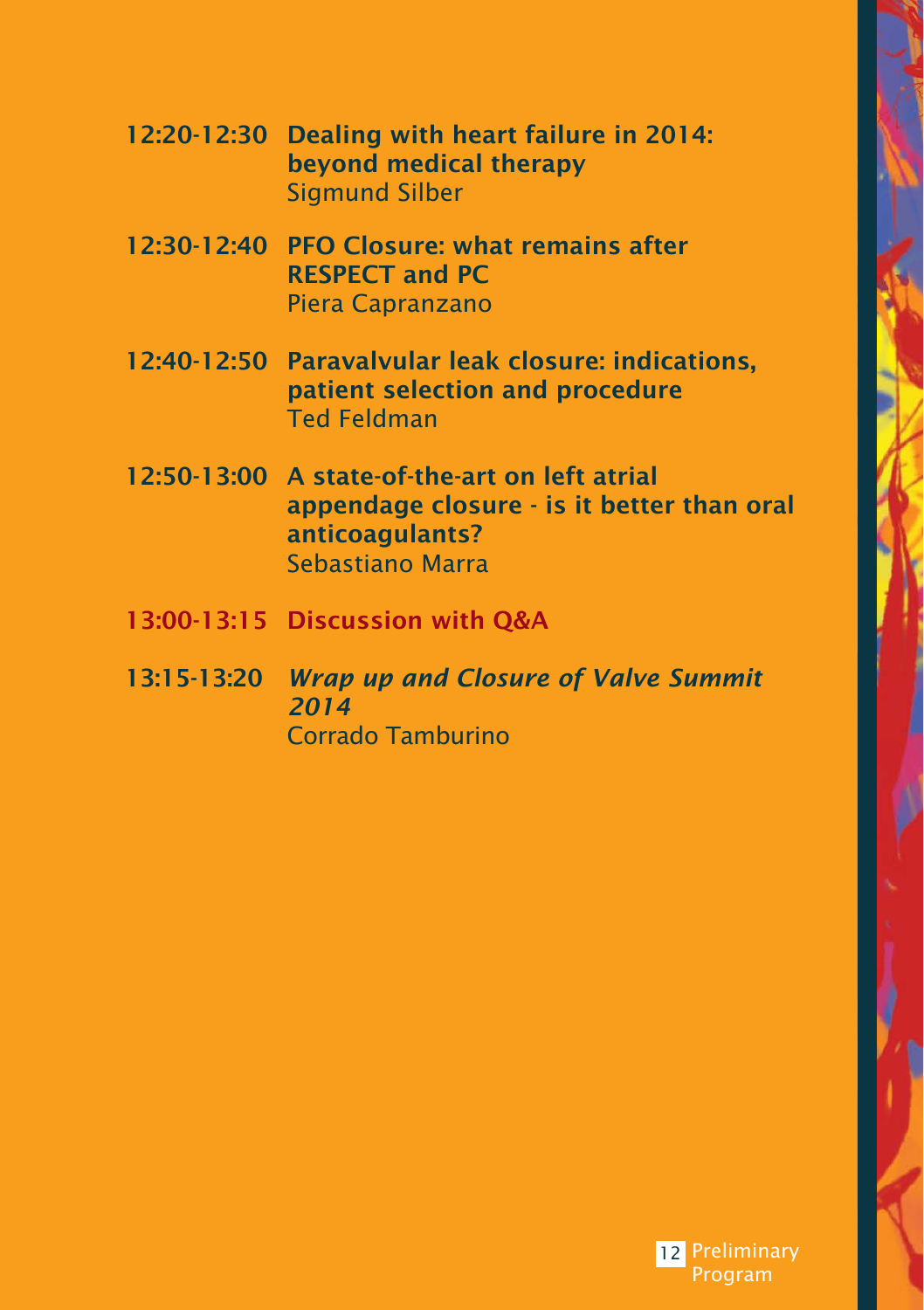| 12:20-12:30 Dealing with heart failure in 2014: |
|-------------------------------------------------|
| beyond medical therapy                          |
| Sigmund Silber                                  |

- 12:30-12:40 PFO Closure: what remains after RESPECT and PC Piera Capranzano
- 12:40-12:50 Paravalvular leak closure: indications, patient selection and procedure Ted Feldman
- 12:50-13:00 A state-of-the-art on left atrial appendage closure - is it better than oral anticoagulants? Sebastiano Marra
- 13:00-13:15 Discussion with Q&A
- 13:15-13:20 *Wrap up and Closure of Valve Summit 2014*  Corrado Tamburino